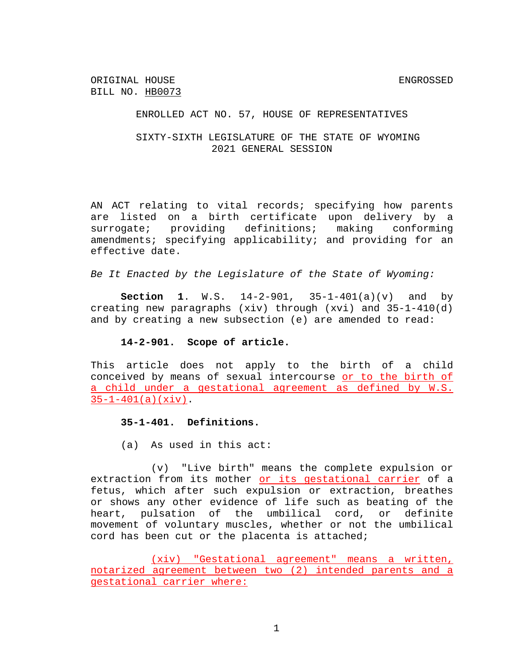ORIGINAL HOUSE ENGROSSED BILL NO. HB0073

#### ENROLLED ACT NO. 57, HOUSE OF REPRESENTATIVES

# SIXTY-SIXTH LEGISLATURE OF THE STATE OF WYOMING 2021 GENERAL SESSION

AN ACT relating to vital records; specifying how parents are listed on a birth certificate upon delivery by a surrogate; providing definitions; making conforming amendments; specifying applicability; and providing for an effective date.

*Be It Enacted by the Legislature of the State of Wyoming:*

**Section 1**. W.S. 14-2-901, 35-1-401(a)(v) and by creating new paragraphs (xiv) through (xvi) and 35-1-410(d) and by creating a new subsection (e) are amended to read:

### **14-2-901. Scope of article.**

This article does not apply to the birth of a child conceived by means of sexual intercourse or to the birth of a child under a gestational agreement as defined by W.S.  $35-1-401(a)(xiv)$ .

#### **35-1-401. Definitions.**

(a) As used in this act:

(v) "Live birth" means the complete expulsion or extraction from its mother or its gestational carrier of a fetus, which after such expulsion or extraction, breathes or shows any other evidence of life such as beating of the heart, pulsation of the umbilical cord, or definite movement of voluntary muscles, whether or not the umbilical cord has been cut or the placenta is attached;

(xiv) "Gestational agreement" means a written, notarized agreement between two (2) intended parents and a gestational carrier where: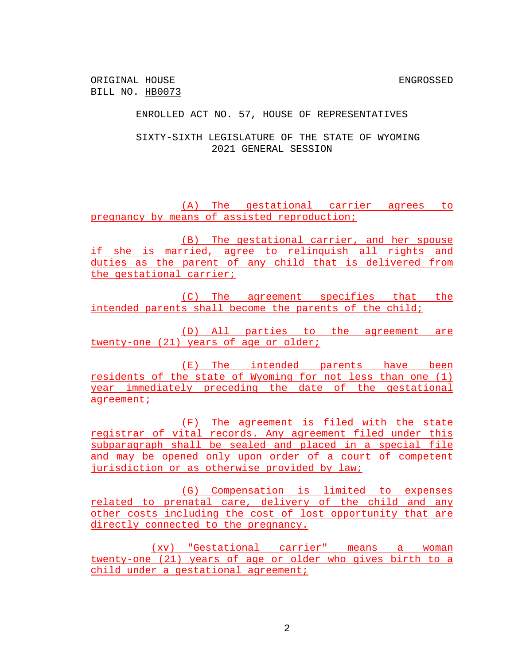ORIGINAL HOUSE ENGROSSED BILL NO. HB0073

ENROLLED ACT NO. 57, HOUSE OF REPRESENTATIVES

SIXTY-SIXTH LEGISLATURE OF THE STATE OF WYOMING 2021 GENERAL SESSION

(A) The gestational carrier agrees to pregnancy by means of assisted reproduction;

(B) The gestational carrier, and her spouse if she is married, agree to relinquish all rights and duties as the parent of any child that is delivered from the gestational carrier;

(C) The agreement specifies that the intended parents shall become the parents of the child;

(D) All parties to the agreement are twenty-one (21) years of age or older;

(E) The intended parents have been residents of the state of Wyoming for not less than one (1) year immediately preceding the date of the gestational agreement;

(F) The agreement is filed with the state registrar of vital records. Any agreement filed under this subparagraph shall be sealed and placed in a special file and may be opened only upon order of a court of competent jurisdiction or as otherwise provided by law;

(G) Compensation is limited to expenses related to prenatal care, delivery of the child and any other costs including the cost of lost opportunity that are directly connected to the pregnancy.

(xv) "Gestational carrier" means a woman twenty-one (21) years of age or older who gives birth to a child under a gestational agreement;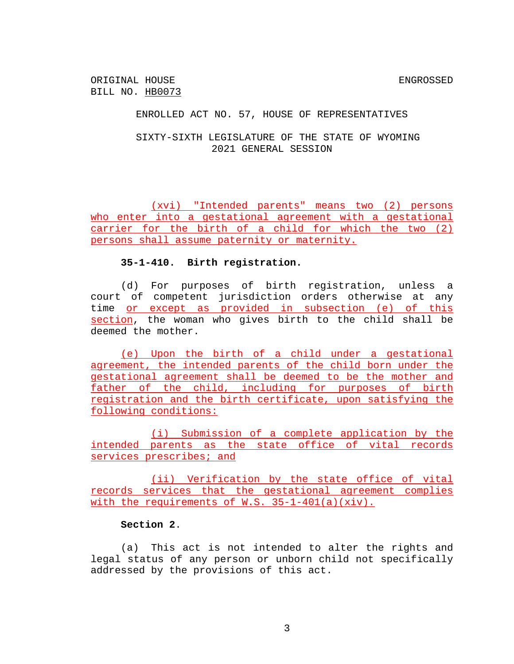ORIGINAL HOUSE ENGROSSED BILL NO. HB0073

### ENROLLED ACT NO. 57, HOUSE OF REPRESENTATIVES

# SIXTY-SIXTH LEGISLATURE OF THE STATE OF WYOMING 2021 GENERAL SESSION

(xvi) "Intended parents" means two (2) persons who enter into a gestational agreement with a gestational carrier for the birth of a child for which the two (2) persons shall assume paternity or maternity.

### **35-1-410. Birth registration.**

(d) For purposes of birth registration, unless a court of competent jurisdiction orders otherwise at any time or except as provided in subsection (e) of this section, the woman who gives birth to the child shall be deemed the mother.

(e) Upon the birth of a child under a gestational agreement, the intended parents of the child born under the gestational agreement shall be deemed to be the mother and father of the child, including for purposes of birth registration and the birth certificate, upon satisfying the following conditions:

(i) Submission of a complete application by the intended parents as the state office of vital records services prescribes; and

(ii) Verification by the state office of vital records services that the gestational agreement complies with the requirements of W.S.  $35-1-401(a)(xiv)$ .

# **Section 2**.

(a) This act is not intended to alter the rights and legal status of any person or unborn child not specifically addressed by the provisions of this act.